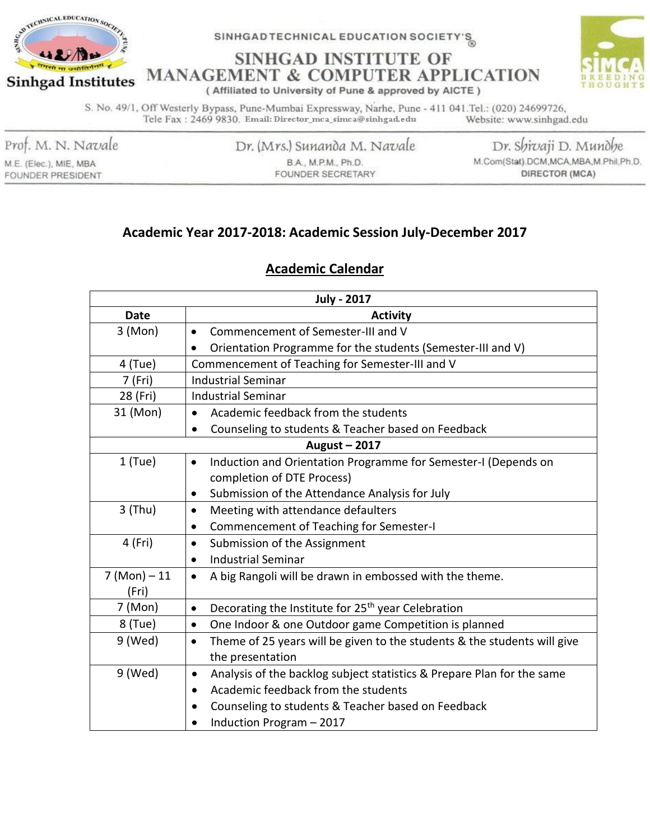

**SINHGAD INSTITUTE OF MANAGEMENT & COMPUTER APPLICATION** 



(Affiliated to University of Pune & approved by AICTE)

S. No. 49/1, Off Westerly Bypass, Pune-Mumbai Expressway, Narhe, Pune - 411 041. Tel.: (020) 24699726, Tele Fax: 2469 9830. Email: Director\_mca\_simca@sinhgad.edu Website: www.sinhgad.edu

Prof. M. N. Navale

M.E. (Elec.), MIE, MBA FOUNDER PRESIDENT Dr. (Mrs.) Sunanda M. Navale B.A., M.P.M., Ph.D. FOUNDER SECRETARY

Dr. Shivaji D. Mundhe M.Com(Stat).DCM,MCA,MBA,M.Phil,Ph.D. DIRECTOR (MCA)

### Academic Year 2017-2018: Academic Session July-December 2017

### **Academic Calendar**

| <b>July - 2017</b> |                                                                                       |  |  |  |
|--------------------|---------------------------------------------------------------------------------------|--|--|--|
| <b>Date</b>        | <b>Activity</b>                                                                       |  |  |  |
| 3 (Mon)            | Commencement of Semester-III and V<br>$\bullet$                                       |  |  |  |
|                    | Orientation Programme for the students (Semester-III and V)<br>$\bullet$              |  |  |  |
| 4 (Tue)            | Commencement of Teaching for Semester-III and V                                       |  |  |  |
| 7 (Fri)            | <b>Industrial Seminar</b>                                                             |  |  |  |
| 28 (Fri)           | <b>Industrial Seminar</b>                                                             |  |  |  |
| 31 (Mon)           | Academic feedback from the students<br>$\bullet$                                      |  |  |  |
|                    | Counseling to students & Teacher based on Feedback<br>$\bullet$                       |  |  |  |
|                    | August - 2017                                                                         |  |  |  |
| $1$ (Tue)          | Induction and Orientation Programme for Semester-I (Depends on<br>$\bullet$           |  |  |  |
|                    | completion of DTE Process)                                                            |  |  |  |
|                    | Submission of the Attendance Analysis for July<br>٠                                   |  |  |  |
| $3$ (Thu)          | Meeting with attendance defaulters<br>$\bullet$                                       |  |  |  |
|                    | Commencement of Teaching for Semester-I<br>$\bullet$                                  |  |  |  |
| 4 (Fri)            | Submission of the Assignment<br>$\bullet$                                             |  |  |  |
|                    | <b>Industrial Seminar</b><br>$\bullet$                                                |  |  |  |
| $7 (Mon) - 11$     | A big Rangoli will be drawn in embossed with the theme.<br>$\bullet$                  |  |  |  |
| (Fri)              |                                                                                       |  |  |  |
| 7 (Mon)            | Decorating the Institute for 25 <sup>th</sup> year Celebration<br>$\bullet$           |  |  |  |
| 8 (Tue)            | One Indoor & one Outdoor game Competition is planned<br>$\bullet$                     |  |  |  |
| 9 (Wed)            | Theme of 25 years will be given to the students & the students will give<br>$\bullet$ |  |  |  |
|                    | the presentation                                                                      |  |  |  |
| 9 (Wed)            | Analysis of the backlog subject statistics & Prepare Plan for the same<br>٠           |  |  |  |
|                    | Academic feedback from the students<br>$\bullet$                                      |  |  |  |
|                    | Counseling to students & Teacher based on Feedback                                    |  |  |  |
|                    | Induction Program - 2017<br>$\bullet$                                                 |  |  |  |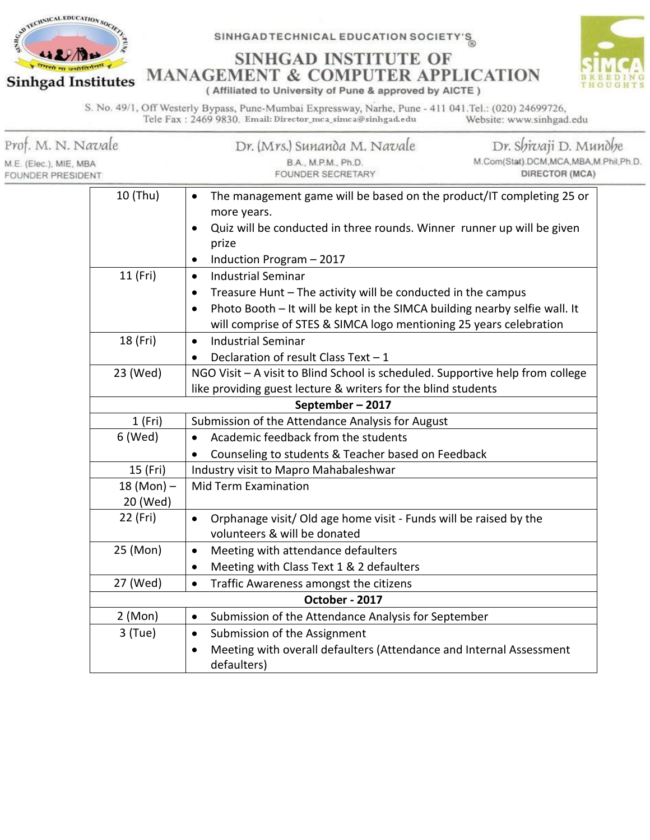



SINHGAD INSTITUTE OF **MANAGEMENT & COMPUTER APPLICATION** 

(Affiliated to University of Pune & approved by AICTE)

S. No. 49/1, Off Westerly Bypass, Pune-Mumbai Expressway, Narhe, Pune - 411 041.Tel.: (020) 24699726, Tele Fax: 2469 9830. Email: Director\_mca\_simca@sinhgad.edu Website: www.sinhgad.edu

| Prof. M. N. Navale<br>M.E. (Elec.), MIE, MBA<br><b>FOUNDER PRESIDENT</b> |                          | Dr. (Mrs.) Sunanda M. Navale<br>B.A., M.P.M., Ph.D.<br>FOUNDER SECRETARY                                                                                                                                                                                                | Dr. Shivaji D. Mundhe<br>M.Com(Stat).DCM,MCA,MBA,M.Phil,Ph.D.<br>DIRECTOR (MCA) |  |  |  |
|--------------------------------------------------------------------------|--------------------------|-------------------------------------------------------------------------------------------------------------------------------------------------------------------------------------------------------------------------------------------------------------------------|---------------------------------------------------------------------------------|--|--|--|
|                                                                          | 10 (Thu)                 | The management game will be based on the product/IT completing 25 or<br>more years.<br>Quiz will be conducted in three rounds. Winner runner up will be given<br>prize<br>Induction Program - 2017<br>$\bullet$                                                         |                                                                                 |  |  |  |
|                                                                          | 11 (Fri)                 | <b>Industrial Seminar</b><br>$\bullet$<br>Treasure Hunt - The activity will be conducted in the campus<br>$\bullet$<br>Photo Booth - It will be kept in the SIMCA building nearby selfie wall. It<br>will comprise of STES & SIMCA logo mentioning 25 years celebration |                                                                                 |  |  |  |
|                                                                          | 18 (Fri)                 | <b>Industrial Seminar</b><br>$\bullet$<br>Declaration of result Class Text - 1                                                                                                                                                                                          |                                                                                 |  |  |  |
|                                                                          | 23 (Wed)                 | NGO Visit - A visit to Blind School is scheduled. Supportive help from college<br>like providing guest lecture & writers for the blind students                                                                                                                         |                                                                                 |  |  |  |
|                                                                          |                          | September-2017                                                                                                                                                                                                                                                          |                                                                                 |  |  |  |
|                                                                          | 1(Fri)                   | Submission of the Attendance Analysis for August                                                                                                                                                                                                                        |                                                                                 |  |  |  |
|                                                                          | 6 (Wed)                  | Academic feedback from the students<br>$\bullet$<br>Counseling to students & Teacher based on Feedback<br>$\bullet$                                                                                                                                                     |                                                                                 |  |  |  |
|                                                                          | 15 (Fri)                 | Industry visit to Mapro Mahabaleshwar                                                                                                                                                                                                                                   |                                                                                 |  |  |  |
|                                                                          | $18 (Mon) -$<br>20 (Wed) | <b>Mid Term Examination</b>                                                                                                                                                                                                                                             |                                                                                 |  |  |  |
|                                                                          | 22 (Fri)                 | Orphanage visit/ Old age home visit - Funds will be raised by the<br>volunteers & will be donated                                                                                                                                                                       |                                                                                 |  |  |  |
|                                                                          | 25 (Mon)                 | Meeting with attendance defaulters<br>$\bullet$<br>Meeting with Class Text 1 & 2 defaulters<br>$\bullet$                                                                                                                                                                |                                                                                 |  |  |  |
|                                                                          | 27 (Wed)                 | Traffic Awareness amongst the citizens<br>$\bullet$                                                                                                                                                                                                                     |                                                                                 |  |  |  |
|                                                                          | October - 2017           |                                                                                                                                                                                                                                                                         |                                                                                 |  |  |  |
|                                                                          | 2 (Mon)                  | Submission of the Attendance Analysis for September<br>$\bullet$                                                                                                                                                                                                        |                                                                                 |  |  |  |
|                                                                          | $3$ (Tue)                | Submission of the Assignment<br>$\bullet$                                                                                                                                                                                                                               |                                                                                 |  |  |  |
|                                                                          |                          | Meeting with overall defaulters (Attendance and Internal Assessment<br>$\bullet$<br>defaulters)                                                                                                                                                                         |                                                                                 |  |  |  |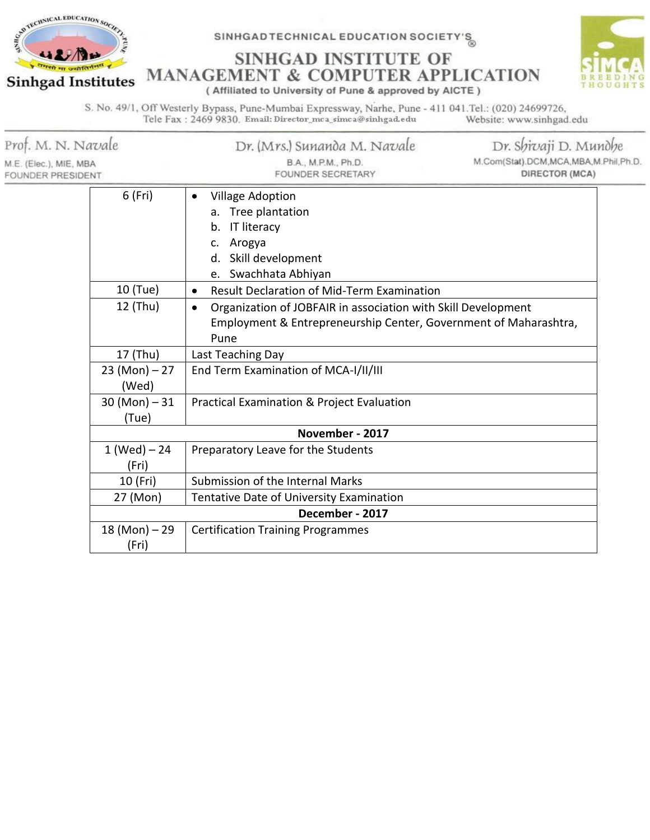

SINHGAD INSTITUTE OF **MANAGEMENT & COMPUTER APPLICATION** (Affiliated to University of Pune & approved by AICTE)



S. No. 49/1, Off Westerly Bypass, Pune-Mumbai Expressway, Narhe, Pune - 411 041.Tel.: (020) 24699726, Tele Fax: 2469 9830. Email: Director\_mca\_simca@sinhgad.edu Website: www.sinhgad.edu

| Prof. M. N. Navale<br>M.E. (Elec.), MIE, MBA<br>FOUNDER PRESIDENT |                                                         | Dr. (Mrs.) Sunanda M. Navale<br>B.A., M.P.M., Ph.D.<br>FOUNDER SECRETARY                                                                                                                                                                      | Dr. Shivaji D. Mundhe<br>M.Com(Stat).DCM,MCA,MBA,M.Phil,Ph.D.<br><b>DIRECTOR (MCA)</b> |
|-------------------------------------------------------------------|---------------------------------------------------------|-----------------------------------------------------------------------------------------------------------------------------------------------------------------------------------------------------------------------------------------------|----------------------------------------------------------------------------------------|
|                                                                   | 6 (Fri)                                                 | <b>Village Adoption</b><br>Tree plantation<br><b>IT literacy</b><br>b.<br>Arogya<br>c.<br>Skill development<br>d.                                                                                                                             |                                                                                        |
|                                                                   | 10 (Tue)<br>12 (Thu)                                    | Swachhata Abhiyan<br><b>Result Declaration of Mid-Term Examination</b><br>$\bullet$<br>Organization of JOBFAIR in association with Skill Development<br>$\bullet$<br>Employment & Entrepreneurship Center, Government of Maharashtra,<br>Pune |                                                                                        |
|                                                                   | 17 (Thu)<br>$23 (Mon) - 27$<br>(Wed)<br>$30 (Mon) - 31$ | Last Teaching Day<br>End Term Examination of MCA-I/II/III<br>Practical Examination & Project Evaluation                                                                                                                                       |                                                                                        |
| (Tue)<br>$1 (Wed) - 24$                                           |                                                         | November - 2017<br>Preparatory Leave for the Students                                                                                                                                                                                         |                                                                                        |
|                                                                   | (Fri)<br>10 (Fri)<br>27 (Mon)                           | Submission of the Internal Marks<br>Tentative Date of University Examination                                                                                                                                                                  |                                                                                        |
|                                                                   | $18 (Mon) - 29$<br>(Fri)                                | December - 2017<br><b>Certification Training Programmes</b>                                                                                                                                                                                   |                                                                                        |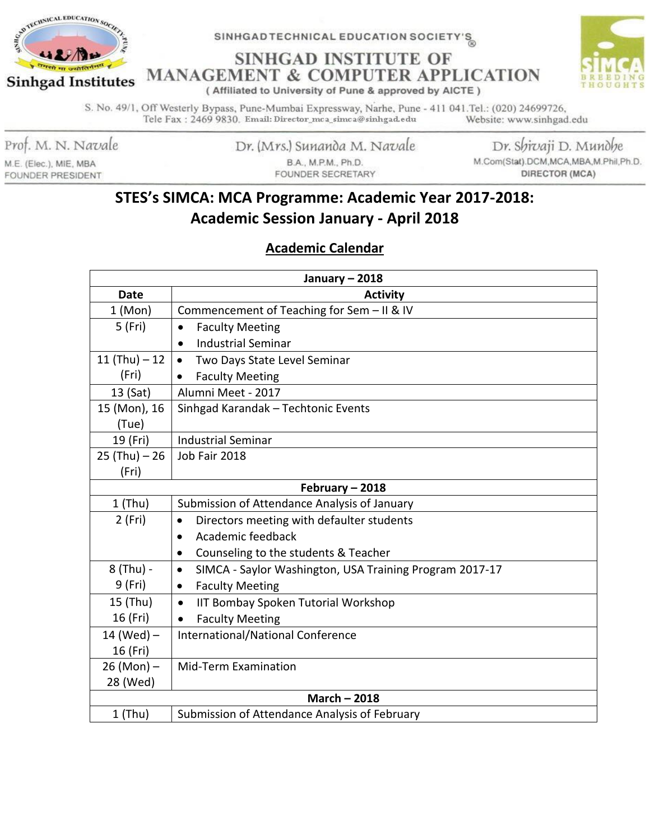

**SINHGAD INSTITUTE OF MANAGEMENT & COMPUTER APPLICATION** 



(Affiliated to University of Pune & approved by AICTE)

S. No. 49/1, Off Westerly Bypass, Pune-Mumbai Expressway, Narhe, Pune - 411 041. Tel.: (020) 24699726, Tele Fax: 2469 9830. Email: Director\_mca\_simca@sinhgad.edu Website: www.sinhgad.edu

Prof. M. N. Navale

M.E. (Elec.), MIE, MBA **FOUNDER PRESIDENT**  Dr. (Mrs.) Sunanda M. Navale B.A., M.P.M., Ph.D. FOUNDER SECRETARY

Dr. Shivaji D. Mundhe M.Com(Stat).DCM,MCA,MBA,M.Phil,Ph.D. DIRECTOR (MCA)

# STES's SIMCA: MCA Programme: Academic Year 2017-2018: **Academic Session January - April 2018**

## **Academic Calendar**

| January $-2018$   |                                                                      |  |  |  |
|-------------------|----------------------------------------------------------------------|--|--|--|
| <b>Date</b>       | <b>Activity</b>                                                      |  |  |  |
| 1 (Mon)           | Commencement of Teaching for Sem - II & IV                           |  |  |  |
| 5 (Fri)           | <b>Faculty Meeting</b><br>$\bullet$                                  |  |  |  |
|                   | <b>Industrial Seminar</b><br>$\bullet$                               |  |  |  |
| 11 $(Thu) - 12$   | Two Days State Level Seminar<br>$\bullet$                            |  |  |  |
| (Fri)             | <b>Faculty Meeting</b>                                               |  |  |  |
| 13 (Sat)          | Alumni Meet - 2017                                                   |  |  |  |
| 15 (Mon), 16      | Sinhgad Karandak - Techtonic Events                                  |  |  |  |
| (Tue)             |                                                                      |  |  |  |
| 19 (Fri)          | <b>Industrial Seminar</b>                                            |  |  |  |
| $25$ (Thu) $- 26$ | Job Fair 2018                                                        |  |  |  |
| (Fri)             |                                                                      |  |  |  |
|                   | February - 2018                                                      |  |  |  |
| $1$ (Thu)         | Submission of Attendance Analysis of January                         |  |  |  |
| 2 (Fri)           | Directors meeting with defaulter students<br>$\bullet$               |  |  |  |
|                   | Academic feedback<br>$\bullet$                                       |  |  |  |
|                   | Counseling to the students & Teacher                                 |  |  |  |
| 8 (Thu) -         | SIMCA - Saylor Washington, USA Training Program 2017-17<br>$\bullet$ |  |  |  |
| 9 (Fri)           | <b>Faculty Meeting</b><br>$\bullet$                                  |  |  |  |
| 15 (Thu)          | IIT Bombay Spoken Tutorial Workshop<br>$\bullet$                     |  |  |  |
| 16 (Fri)          | <b>Faculty Meeting</b><br>$\bullet$                                  |  |  |  |
| 14 (Wed) $-$      | International/National Conference                                    |  |  |  |
| 16 (Fri)          |                                                                      |  |  |  |
| $26 (Mon) -$      | <b>Mid-Term Examination</b>                                          |  |  |  |
| 28 (Wed)          |                                                                      |  |  |  |
| March $-2018$     |                                                                      |  |  |  |
| $1$ (Thu)         | Submission of Attendance Analysis of February                        |  |  |  |